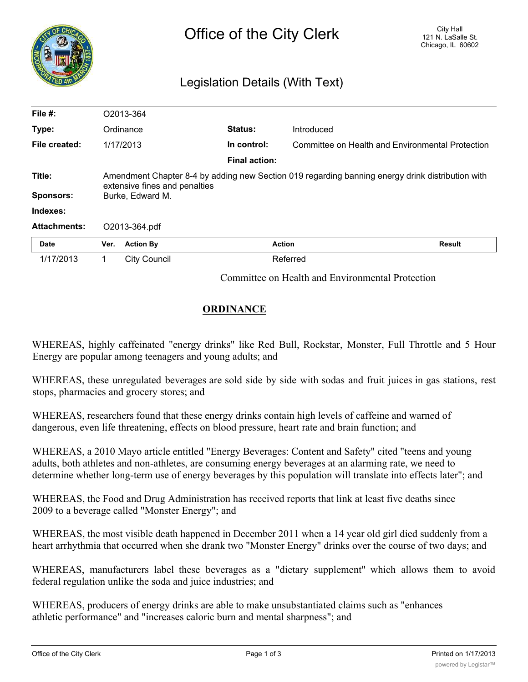| <b>NGO</b>                 | City Hall<br>Office of the City Clerk<br>121 N. LaSalle St.<br>Chicago, IL 60602<br>Legislation Details (With Text)                                   |                     |                      |               |                                                  |  |
|----------------------------|-------------------------------------------------------------------------------------------------------------------------------------------------------|---------------------|----------------------|---------------|--------------------------------------------------|--|
| File #:                    |                                                                                                                                                       | O2013-364           |                      |               |                                                  |  |
| Type:                      |                                                                                                                                                       | Ordinance           | <b>Status:</b>       | Introduced    |                                                  |  |
| File created:              |                                                                                                                                                       | 1/17/2013           | In control:          |               | Committee on Health and Environmental Protection |  |
|                            |                                                                                                                                                       |                     | <b>Final action:</b> |               |                                                  |  |
| Title:<br><b>Sponsors:</b> | Amendment Chapter 8-4 by adding new Section 019 regarding banning energy drink distribution with<br>extensive fines and penalties<br>Burke, Edward M. |                     |                      |               |                                                  |  |
| Indexes:                   |                                                                                                                                                       |                     |                      |               |                                                  |  |
| <b>Attachments:</b>        |                                                                                                                                                       | O2013-364.pdf       |                      |               |                                                  |  |
| Date                       | Ver.                                                                                                                                                  | <b>Action By</b>    |                      | <b>Action</b> | <b>Result</b>                                    |  |
| 1/17/2013                  | 1.                                                                                                                                                    | <b>City Council</b> |                      | Referred      |                                                  |  |
|                            |                                                                                                                                                       |                     |                      |               |                                                  |  |

Committee on Health and Environmental Protection

## **ORDINANCE**

WHEREAS, highly caffeinated "energy drinks" like Red Bull, Rockstar, Monster, Full Throttle and 5 Hour Energy are popular among teenagers and young adults; and

WHEREAS, these unregulated beverages are sold side by side with sodas and fruit juices in gas stations, rest stops, pharmacies and grocery stores; and

WHEREAS, researchers found that these energy drinks contain high levels of caffeine and warned of dangerous, even life threatening, effects on blood pressure, heart rate and brain function; and

WHEREAS, a 2010 Mayo article entitled "Energy Beverages: Content and Safety" cited "teens and young adults, both athletes and non-athletes, are consuming energy beverages at an alarming rate, we need to determine whether long-term use of energy beverages by this population will translate into effects later"; and

WHEREAS, the Food and Drug Administration has received reports that link at least five deaths since 2009 to a beverage called "Monster Energy"; and

WHEREAS, the most visible death happened in December 2011 when a 14 year old girl died suddenly from a heart arrhythmia that occurred when she drank two "Monster Energy" drinks over the course of two days; and

WHEREAS, manufacturers label these beverages as a "dietary supplement" which allows them to avoid federal regulation unlike the soda and juice industries; and

WHEREAS, producers of energy drinks are able to make unsubstantiated claims such as "enhances athletic performance" and "increases caloric burn and mental sharpness"; and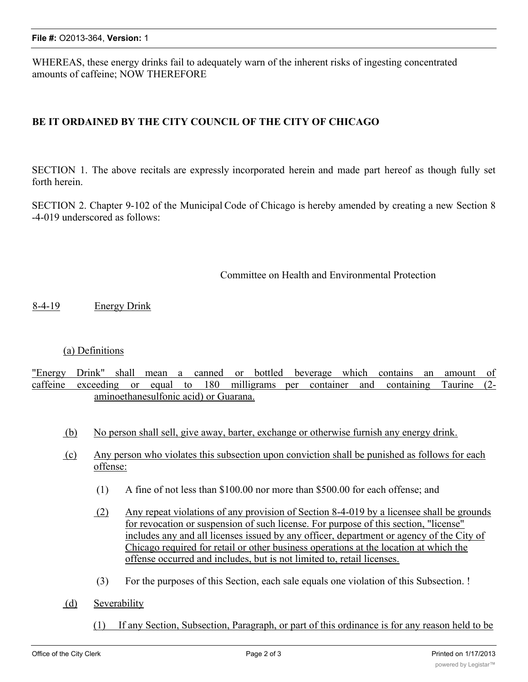WHEREAS, these energy drinks fail to adequately warn of the inherent risks of ingesting concentrated amounts of caffeine; NOW THEREFORE

## **BE IT ORDAINED BY THE CITY COUNCIL OF THE CITY OF CHICAGO**

SECTION 1. The above recitals are expressly incorporated herein and made part hereof as though fully set forth herein.

SECTION 2. Chapter 9-102 of the Municipal Code of Chicago is hereby amended by creating a new Section 8 -4-019 underscored as follows:

## Committee on Health and Environmental Protection

8-4-19 Energy Drink

## (a) Definitions

"Energy Drink" shall mean a canned or bottled beverage which contains an amount of caffeine exceeding or equal to 180 milligrams per container and containing Taurine (2aminoethanesulfonic acid) or Guarana.

- (b) No person shall sell, give away, barter, exchange or otherwise furnish any energy drink.
- (c) Any person who violates this subsection upon conviction shall be punished as follows for each offense:
	- (1) A fine of not less than \$100.00 nor more than \$500.00 for each offense; and
	- (2) Any repeat violations of any provision of Section 8-4-019 by a licensee shall be grounds for revocation or suspension of such license. For purpose of this section, "license" includes any and all licenses issued by any officer, department or agency of the City of Chicago required for retail or other business operations at the location at which the offense occurred and includes, but is not limited to, retail licenses.
	- (3) For the purposes of this Section, each sale equals one violation of this Subsection. !
- (d) Severability
	- (1) If any Section, Subsection, Paragraph, or part of this ordinance is for any reason held to be